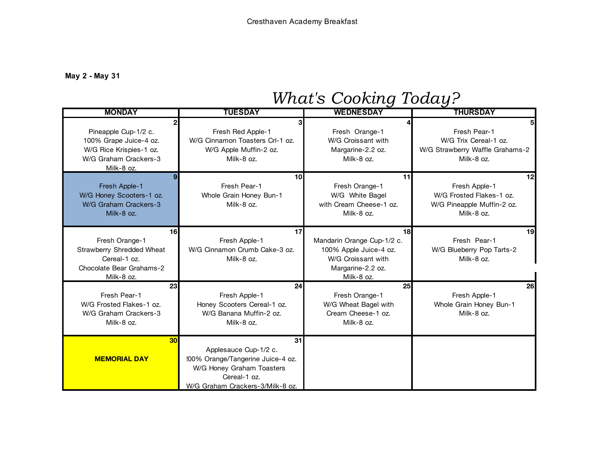## **May 2 - May 31**

## *What's Cooking Today?*

| <b>MONDAY</b>                                                                                                    | <b>TUESDAY</b>                                                                                                                                    | <b>WEDNESDAY</b>                                                                                                                 | <b>THURSDAY</b>                                                                                          |
|------------------------------------------------------------------------------------------------------------------|---------------------------------------------------------------------------------------------------------------------------------------------------|----------------------------------------------------------------------------------------------------------------------------------|----------------------------------------------------------------------------------------------------------|
| Pineapple Cup-1/2 c.<br>100% Grape Juice-4 oz.<br>W/G Rice Krispies-1 oz.<br>W/G Graham Crackers-3<br>Milk-8 oz. | Fresh Red Apple-1<br>W/G Cinnamon Toasters Crl-1 oz.<br>W/G Apple Muffin-2 oz.<br>Milk-8 oz.                                                      | Fresh Orange-1<br>W/G Croissant with<br>Margarine-2.2 oz.<br>Milk-8 oz.                                                          | Fresh Pear-1<br>W/G Trix Cereal-1 oz.<br>W/G Strawberry Waffle Grahams-2<br>Milk-8 oz.                   |
| Fresh Apple-1<br>W/G Honey Scooters-1 oz.<br>W/G Graham Crackers-3<br>Milk-8 oz.                                 | 10<br>Fresh Pear-1<br>Whole Grain Honey Bun-1<br>Milk-8 oz.                                                                                       | 11<br>Fresh Orange-1<br>W/G White Bagel<br>with Cream Cheese-1 oz.<br>Milk-8 oz.                                                 | 12 <sub>l</sub><br>Fresh Apple-1<br>W/G Frosted Flakes-1 oz.<br>W/G Pineapple Muffin-2 oz.<br>Milk-8 oz. |
| 16<br>Fresh Orange-1<br>Strawberry Shredded Wheat<br>Cereal-1 oz.<br>Chocolate Bear Grahams-2<br>Milk-8 oz.      | 17<br>Fresh Apple-1<br>W/G Cinnamon Crumb Cake-3 oz.<br>Milk-8 oz.                                                                                | 18 <sup>1</sup><br>Mandarin Orange Cup-1/2 c.<br>100% Apple Juice-4 oz.<br>W/G Croissant with<br>Margarine-2.2 oz.<br>Milk-8 oz. | 19<br>Fresh Pear-1<br>W/G Blueberry Pop Tarts-2<br>Milk-8 oz.                                            |
| 23<br>Fresh Pear-1<br>W/G Frosted Flakes-1 oz.<br>W/G Graham Crackers-3<br>Milk-8 oz.                            | 24<br>Fresh Apple-1<br>Honey Scooters Cereal-1 oz.<br>W/G Banana Muffin-2 oz.<br>Milk-8 oz.                                                       | 25<br>Fresh Orange-1<br>W/G Wheat Bagel with<br>Cream Cheese-1 oz.<br>Milk-8 oz.                                                 | 26<br>Fresh Apple-1<br>Whole Grain Honey Bun-1<br>Milk-8 oz.                                             |
| 30<br><b>MEMORIAL DAY</b>                                                                                        | 31<br>Applesauce Cup-1/2 c.<br>!00% Orange/Tangerine Juice-4 oz.<br>W/G Honey Graham Toasters<br>Cereal-1 oz.<br>W/G Graham Crackers-3/Milk-8 oz. |                                                                                                                                  |                                                                                                          |